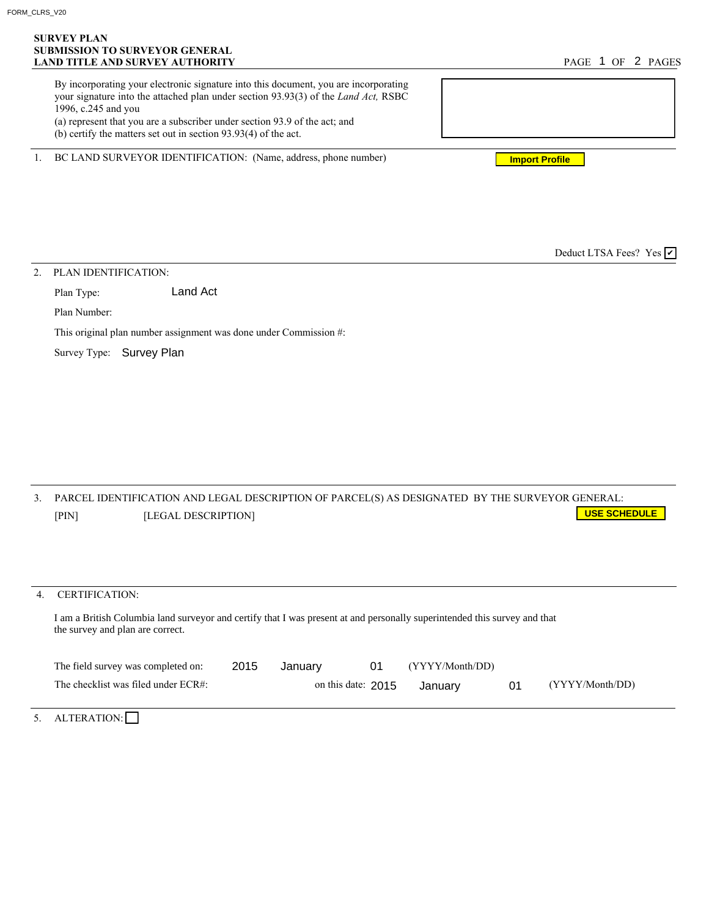## **SURVEY PLAN SUBMISSION TO SURVEYOR GENERAL LAND TITLE AND SURVEY AUTHORITY**

| By incorporating your electronic signature into this document, you are incorporating<br>your signature into the attached plan under section 93.93(3) of the <i>Land Act</i> , RSBC |  |
|------------------------------------------------------------------------------------------------------------------------------------------------------------------------------------|--|
| 1996, c.245 and you                                                                                                                                                                |  |
| (a) represent that you are a subscriber under section 93.9 of the act; and                                                                                                         |  |
| (b) certify the matters set out in section $93.93(4)$ of the act.                                                                                                                  |  |

1. BC LAND SURVEYOR IDENTIFICATION: (Name, address, phone number)

**Import Profile**

Deduct LTSA Fees? Yes  $\vee$ 

2. PLAN IDENTIFICATION:

Plan Type: Land Act

Plan Number:

This original plan number assignment was done under Commission #:

Survey Type: Survey Plan

|       | PARCEL IDENTIFICATION AND LEGAL DESCRIPTION OF PARCEL(S) AS DESIGNATED BY THE SURVEYOR GENERAL: |                         |
|-------|-------------------------------------------------------------------------------------------------|-------------------------|
| [PIN] | <b>ILEGAL DESCRIPTION1</b>                                                                      | <u>  USE SCHEDULE  </u> |

## 4. CERTIFICATION:

I am a British Columbia land surveyor and certify that I was present at and personally superintended this survey and that the survey and plan are correct.

| The field survey was completed on:  | 2015 | January              | (YYYY/Month/DD) |                 |
|-------------------------------------|------|----------------------|-----------------|-----------------|
| The checklist was filed under ECR#: |      | on this date: $2015$ | January         | (YYYY/Month/DD) |
|                                     |      |                      |                 |                 |

5. ALTERATION: